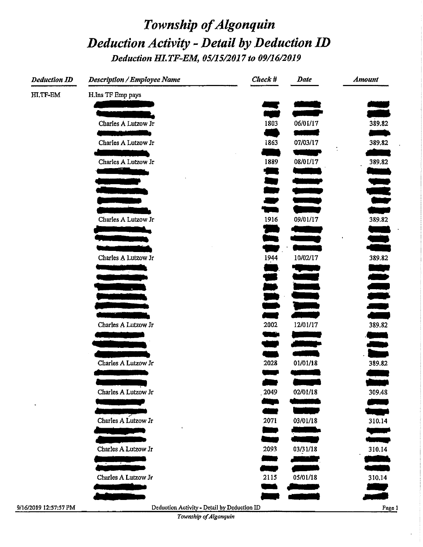# Township of Algonquin Deduction Activity - Detail by Deduction ID Deduction HI.TF-EM, 05/15/2017 to 09/16/2019

| <b>Deduction ID</b> | <b>Description / Employee Name</b> | Check #     | <b>Date</b>              | <b>Amount</b>                  |
|---------------------|------------------------------------|-------------|--------------------------|--------------------------------|
| HI.TF-EM            | H.Ins TF Emp pays                  |             |                          |                                |
|                     |                                    |             |                          |                                |
|                     | Charles A Lutzow Jr                | 1803        | 06/01/17                 | 389.82                         |
|                     |                                    |             |                          |                                |
|                     | Charles A Lutzow Jr                | 1863        | 07/03/17                 | 389.82<br>÷.                   |
|                     | Charles A Lutzow Jr                | 1889        | 08/01/17                 | 389.82                         |
|                     | فالأناب                            | ▀           |                          | <u> The Contract of Second</u> |
|                     |                                    | ing<br>Aur  |                          |                                |
|                     |                                    |             |                          |                                |
|                     |                                    | <u>esta</u> |                          |                                |
|                     | Charles A Lutzow Jr                | 1916        | 09/01/17                 | 389.82                         |
|                     |                                    |             |                          |                                |
|                     |                                    | يروز        |                          | <u>.</u>                       |
|                     | Charles A Lutzow Jr                | 1944        | 10/02/17                 | 389.82                         |
|                     |                                    |             |                          |                                |
|                     |                                    |             |                          | lle lle                        |
|                     |                                    |             |                          |                                |
|                     |                                    | No.         |                          |                                |
|                     |                                    |             |                          |                                |
|                     | Charles A Lutzow Jr                | 2002        | 12/01/17                 | 389.82                         |
|                     |                                    |             | <b>Contract Contract</b> | <u>provinc</u>                 |
|                     |                                    |             |                          |                                |
|                     | Charles A Lutzow Jr                | 2028        | 01/01/18                 | 389.82                         |
|                     |                                    |             |                          |                                |
|                     | Charles A Lutzow Jr                | 2049        | 02/01/18                 | 309.48                         |
|                     |                                    | a sa        |                          |                                |
|                     |                                    |             |                          |                                |
|                     | Charles A Lutzow Jr                | 2071        | 03/01/18                 | 310.14                         |
|                     |                                    |             |                          |                                |
|                     | Charles A Lutzow Jr                | 2093        | 03/31/18                 | 310.14                         |
|                     |                                    | ديبا        | ta wakati wa             | <u> Barat da Ba</u>            |
|                     | Charles A Lutzow Jr                | 2115        | 05/01/18                 |                                |
|                     |                                    |             |                          | 310.14                         |
|                     |                                    |             |                          |                                |

Deduction Activity - Detail by Deduction ID

Page 1

Township of Algonquin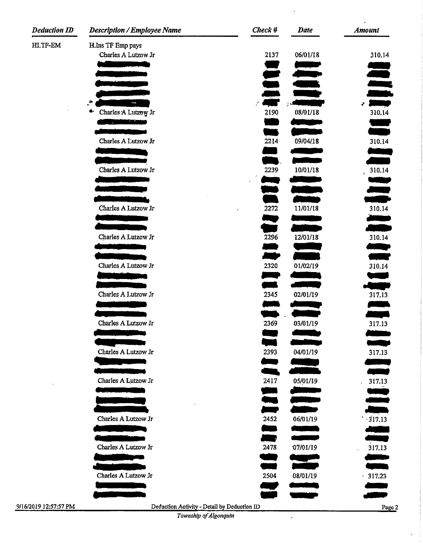| <b>Deduction ID</b>   | <b>Description / Employee Name</b>                                   | $Check$ # | <b>Date</b> | <b>Amount</b>                  |
|-----------------------|----------------------------------------------------------------------|-----------|-------------|--------------------------------|
| HI.TF-EM              | H.Ins TF Emp pays                                                    |           |             |                                |
|                       | Charles A Lutzow Jr                                                  | 2137      | 06/01/18    | 310.14                         |
|                       |                                                                      |           |             |                                |
|                       |                                                                      |           | تتناسب      |                                |
|                       |                                                                      |           |             | <u>iivane</u>                  |
|                       | $\cdots$                                                             |           |             | an an S<br>$\ddot{r}$          |
|                       | Charles A Lutzow Jr<br>е-                                            | 2190      | 08/01/18    | 310.14                         |
|                       | <u> Andrew Marian a</u>                                              |           |             |                                |
|                       |                                                                      |           |             |                                |
|                       | Charles A Lutzow Jr                                                  | 2214      | 09/04/18    | 310.14                         |
|                       |                                                                      |           |             |                                |
|                       | Charles A Lutzow Jr                                                  | 2239      | 10/01/18    | 310.14                         |
|                       |                                                                      |           |             | a ya m                         |
|                       |                                                                      |           |             | <u> Barat d</u>                |
|                       |                                                                      |           |             |                                |
|                       | Charles A Lutzow Jr                                                  | 2272      | 11/01/18    | 310.14                         |
|                       |                                                                      |           |             | سيريني<br>والتوالي             |
|                       | Charles A Lutzow Jr                                                  | 2296      | 12/01/18    | 310.14                         |
|                       |                                                                      |           |             | بياب                           |
|                       |                                                                      |           |             |                                |
|                       | Charles A Lutzow Jr                                                  | 2320      | 01/02/19    | 310.14                         |
|                       |                                                                      |           |             |                                |
|                       | Charles A Lutzow Jr                                                  | 2345      | 02/01/19    | والكالأن<br>317.13             |
|                       |                                                                      |           |             | تتبيت                          |
|                       |                                                                      |           |             |                                |
|                       | Charles A Lutzow Jr                                                  | 2369      | 03/01/19    | 317.13                         |
|                       |                                                                      |           |             |                                |
|                       |                                                                      |           |             |                                |
|                       | Charles A Lutzow Jr                                                  | 2393      | 04/01/19    | 317.13                         |
|                       |                                                                      |           |             |                                |
|                       | Charles A Lutzow Jr                                                  | 2417      | 05/01/19    | 317.13                         |
|                       |                                                                      |           |             |                                |
|                       |                                                                      |           |             |                                |
|                       |                                                                      |           |             |                                |
|                       | Charles A Lutzow Jr                                                  | 2452      | 06/01/19    | $\frac{1}{317.13}$             |
|                       |                                                                      |           |             |                                |
|                       | Charles A Lutzow Jr                                                  | 2478      | 07/01/19    | 317.13<br>$\ddot{\phantom{0}}$ |
|                       |                                                                      |           |             |                                |
|                       |                                                                      |           |             | $\sim$                         |
|                       | Charles A Lutzow Jr                                                  | 2504      | 08/01/19    | .317.23                        |
|                       |                                                                      |           |             |                                |
|                       |                                                                      |           |             |                                |
| 9/16/2019 12:57:57 PM | Deduction Activity - Detail by Deduction ID<br>Township of Algonquin |           |             | Page                           |
|                       |                                                                      |           |             |                                |

 $\hat{\boldsymbol{\epsilon}}$ 

Page2

J.

*Township of Algonquin* 

 $\hat{\mathbf{r}}$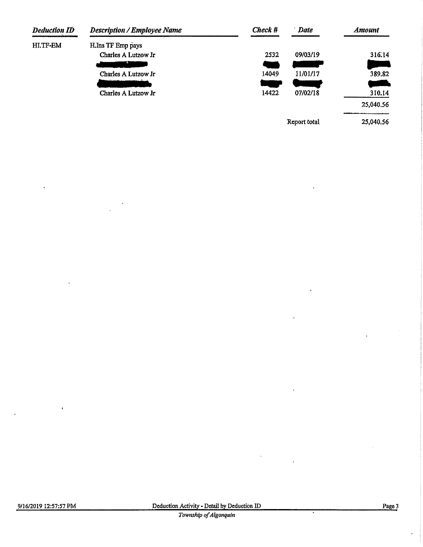| <b>Deduction ID</b> | <b>Description / Employee Name</b> | Check # | <b>Date</b>  | <b>Amount</b> |
|---------------------|------------------------------------|---------|--------------|---------------|
| HI.TF-EM            | H.Ins TF Emp pays                  |         |              |               |
|                     | Charles A Lutzow Jr                | 2532    | 09/03/19     | 316.14        |
|                     |                                    |         |              |               |
|                     | Charles A Lutzow Jr                | 14049   | 11/01/17     | 389.82        |
|                     |                                    |         |              |               |
|                     | Charles A Lutzow Jr                | 14422   | 07/02/18     | 310.14        |
|                     |                                    |         |              | 25,040.56     |
|                     |                                    |         | Report total | 25,040.56     |

 $\epsilon$ 

 $\overline{a}$ 

 $\ddot{\phantom{0}}$ 

7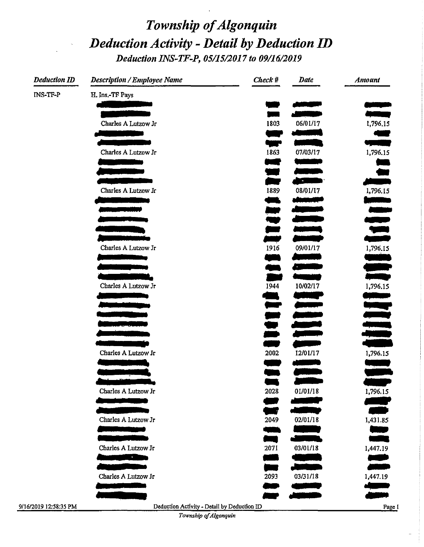# Township of Algonquin Deduction Activity - Detail by Deduction ID Deduction INS-TF-P, 05/15/2017 to 09/16/2019

| <b>Deduction ID</b> | <b>Description / Employee Name</b> | Check #         | <b>Date</b>                                                                                                                                                                                                                          | <b>Amount</b> |
|---------------------|------------------------------------|-----------------|--------------------------------------------------------------------------------------------------------------------------------------------------------------------------------------------------------------------------------------|---------------|
| INS-TF-P            | H. Ins.-TF Pays                    |                 |                                                                                                                                                                                                                                      |               |
|                     |                                    |                 | an an Aonaichte.<br>Bailtean an Dùbhan                                                                                                                                                                                               |               |
|                     |                                    |                 |                                                                                                                                                                                                                                      |               |
|                     | Charles A Lutzow Jr                | 1803            | 06/01/17                                                                                                                                                                                                                             | 1,796.15      |
|                     |                                    |                 |                                                                                                                                                                                                                                      |               |
|                     | Charles A Lutzow Jr                | 1863            | 07/03/17                                                                                                                                                                                                                             | 1,796.15      |
|                     |                                    | a na            | برودهمور                                                                                                                                                                                                                             |               |
|                     |                                    | Ŧ.              | <u>the company of the company of the company of the company of the company of the company of the company of the company of the company of the company of the company of the company of the company of the company of the company</u> |               |
|                     | Charles A Lutzow Jr                | 1889            | 08/01/17                                                                                                                                                                                                                             | 1,796.15      |
|                     |                                    |                 | النسمية                                                                                                                                                                                                                              |               |
|                     |                                    |                 |                                                                                                                                                                                                                                      |               |
|                     |                                    | $\blacksquare$  |                                                                                                                                                                                                                                      |               |
|                     |                                    |                 |                                                                                                                                                                                                                                      |               |
|                     | Charles A Lutzow Jr                | 1916            | 09/01/17                                                                                                                                                                                                                             | 1,796.15      |
|                     |                                    |                 | البالات                                                                                                                                                                                                                              |               |
|                     |                                    |                 |                                                                                                                                                                                                                                      |               |
|                     |                                    | $\blacksquare$  |                                                                                                                                                                                                                                      | فالمست        |
|                     | Charles A Lutzow Jr                | 1944            | 10/02/17                                                                                                                                                                                                                             | 1,796.15      |
|                     |                                    |                 |                                                                                                                                                                                                                                      |               |
|                     |                                    |                 |                                                                                                                                                                                                                                      |               |
|                     |                                    |                 |                                                                                                                                                                                                                                      |               |
|                     |                                    |                 |                                                                                                                                                                                                                                      |               |
|                     |                                    | n en            |                                                                                                                                                                                                                                      |               |
|                     | Charles A Lutzow Jr                | 2002            | 12/01/17                                                                                                                                                                                                                             | 1,796.15      |
|                     |                                    | ment of the Sea | <u> Angels va</u>                                                                                                                                                                                                                    |               |
|                     |                                    |                 |                                                                                                                                                                                                                                      |               |
|                     | Charles A Lutzow Jr                | 2028            | 01/01/18                                                                                                                                                                                                                             | 1,796.15      |
|                     |                                    |                 |                                                                                                                                                                                                                                      |               |
|                     | Charles A Lutzow Jr                | 2049            | 02/01/18                                                                                                                                                                                                                             | 1,431.85      |
|                     |                                    |                 |                                                                                                                                                                                                                                      |               |
|                     |                                    |                 |                                                                                                                                                                                                                                      | n an          |
|                     | Charles A Lutzow Jr                | 2071            | 03/01/18                                                                                                                                                                                                                             | 1,447.19      |
|                     | <b>CONTRACTOR</b>                  |                 |                                                                                                                                                                                                                                      | الهبد         |
|                     | Charles A Lutzow Jr                | 2093            | 03/31/18                                                                                                                                                                                                                             | 1,447.19      |
|                     |                                    |                 |                                                                                                                                                                                                                                      |               |
|                     |                                    |                 |                                                                                                                                                                                                                                      |               |

9/16/2019 12:58:35 PM

Deduction Activity - Detail by Deduction ID

Township of Algonquin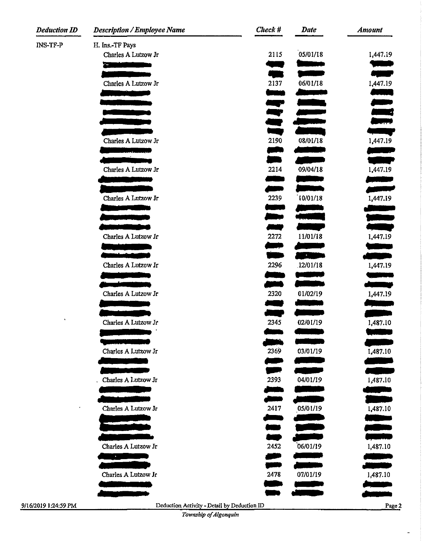| <b>Deduction ID</b> | <b>Description / Employee Name</b>                                                                                    | Check #       | <b>Date</b>                                                                                                          | <b>Amount</b>                    |
|---------------------|-----------------------------------------------------------------------------------------------------------------------|---------------|----------------------------------------------------------------------------------------------------------------------|----------------------------------|
| <b>INS-TF-P</b>     | H. Ins.-TF Pays                                                                                                       |               |                                                                                                                      |                                  |
|                     | Charles A Lutzow Jr                                                                                                   | 2115          | 05/01/18                                                                                                             | 1,447.19                         |
|                     | <u> 2000 - An Dùbhlachd ann an Dùbhlachd ann an Dùbhlachd ann an Dùbhlachd ann an Dùbhlachd ann an Dùbhlachd ann </u> |               | <u>e de la provincia de la provincia de la provincia de la provincia de la provincia de la provincia de la provi</u> | a na m                           |
|                     | Charles A Lutzow Jr                                                                                                   | e e s<br>2137 | 06/01/18                                                                                                             | 1,447.19                         |
|                     |                                                                                                                       |               |                                                                                                                      |                                  |
|                     |                                                                                                                       | æ,            | <u>e de la p</u>                                                                                                     |                                  |
|                     |                                                                                                                       |               | ijan<br>Kabupatèn                                                                                                    | denier<br>1989: Santa<br>1989: S |
|                     |                                                                                                                       |               |                                                                                                                      |                                  |
|                     | Charles A Lutzow Jr                                                                                                   | 2190          | 08/01/18                                                                                                             | 1,447.19                         |
|                     |                                                                                                                       |               |                                                                                                                      |                                  |
|                     |                                                                                                                       |               |                                                                                                                      | ميري                             |
|                     | Charles A Lutzow Jr                                                                                                   | 2214          | 09/04/18                                                                                                             | 1,447.19                         |
|                     |                                                                                                                       | <u>an</u>     |                                                                                                                      | an an A                          |
|                     | Charles A Lutzow Jr                                                                                                   | 2239          | 10/01/18                                                                                                             | 1,447.19                         |
|                     |                                                                                                                       |               |                                                                                                                      |                                  |
|                     |                                                                                                                       |               |                                                                                                                      |                                  |
|                     | Charles A Lutzow Jr                                                                                                   | 2272          | 11/01/18                                                                                                             | 1,447.19                         |
|                     |                                                                                                                       |               |                                                                                                                      |                                  |
|                     |                                                                                                                       |               | <b>Contract Contract</b>                                                                                             |                                  |
|                     | Charles A Lutzow Jr                                                                                                   | 2296          | 12/01/18                                                                                                             | 1,447.19                         |
|                     |                                                                                                                       |               |                                                                                                                      | المتعادلات                       |
|                     | Charles A Lutzow Jr                                                                                                   | 2320          | 01/02/19                                                                                                             | 1,447.19                         |
|                     |                                                                                                                       |               |                                                                                                                      |                                  |
| $\pmb{\cdot}$       |                                                                                                                       |               |                                                                                                                      |                                  |
|                     | Charles A Lutzow Jr                                                                                                   | 2345          | 02/01/19                                                                                                             | 1,487.10                         |
|                     |                                                                                                                       |               |                                                                                                                      |                                  |
|                     | Charles A Lutzow Jr                                                                                                   | 2369          | 03/01/19                                                                                                             | 1,487.10                         |
|                     |                                                                                                                       |               |                                                                                                                      |                                  |
|                     |                                                                                                                       |               |                                                                                                                      |                                  |
|                     | Charles A Lutzow Jr                                                                                                   | 2393          | 04/01/19                                                                                                             | 1,487.10                         |
|                     |                                                                                                                       |               |                                                                                                                      |                                  |
| $\bullet$           | Charles A Lutzow Jr                                                                                                   | 2417          | 05/01/19                                                                                                             | 1,487.10                         |
|                     |                                                                                                                       |               |                                                                                                                      | a ka                             |
|                     |                                                                                                                       |               |                                                                                                                      |                                  |
|                     | Charles A Lutzow Jr                                                                                                   | 2452          | 06/01/19                                                                                                             | 1,487.10                         |
|                     | $\sim 100$                                                                                                            |               |                                                                                                                      |                                  |
|                     |                                                                                                                       |               |                                                                                                                      |                                  |
|                     | Charles A Lutzow Jr                                                                                                   | 2478          | 07/01/19<br>e de la construcción de                                                                                  | 1,487.10                         |
|                     |                                                                                                                       |               |                                                                                                                      |                                  |
| /2019 1:24:59 PM    | Deduction Activity - Detail by Deduction ID                                                                           |               |                                                                                                                      | Page 2                           |
|                     | Township of Algonouin                                                                                                 |               |                                                                                                                      |                                  |

*Township of Algonquin*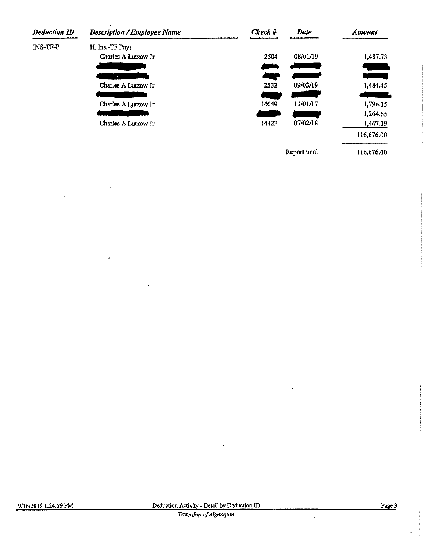| <b>Deduction ID</b> | <b>Description / Employee Name</b> | Check # | Date         | <b>Amount</b> |
|---------------------|------------------------------------|---------|--------------|---------------|
| INS-TF-P            | H. Ins.-TF Pays                    |         |              |               |
|                     | Charles A Lutzow Jr                | 2504    | 08/01/19     | 1,487.73      |
|                     |                                    |         |              |               |
|                     |                                    | an an   |              |               |
|                     | Charles A Lutzow Jr                | 2532    | 09/03/19     | 1,484.45      |
|                     |                                    | a w     |              |               |
|                     | Charles A Lutzow Jr                | 14049   | 11/01/17     | 1,796.15      |
|                     |                                    |         |              | 1,264.65      |
|                     | Charles A Lutzow Jr                | 14422   | 07/02/18     | 1,447.19      |
|                     |                                    |         |              | 116,676.00    |
|                     |                                    |         | Report total | 116,676.00    |

 $\ddot{\phantom{0}}$ 

ï

l,

 $\ddot{\phantom{a}}$ 

 $\hat{\mathcal{L}}$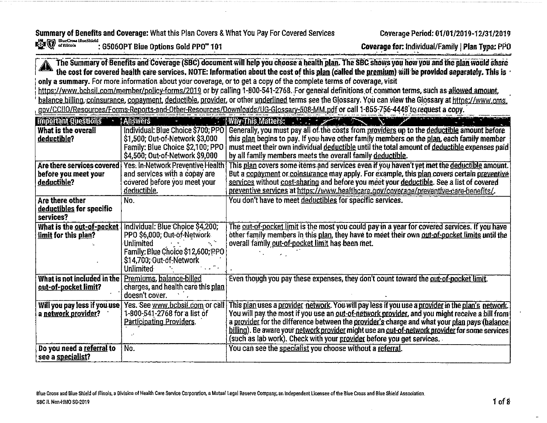Summary of Benefits and Coverage: What this Plan Covers & What You Pay For Covered Services ElucCross HucShield

: G506OPT Blue Options Gold PPO" 101

Coverage for: Individual/Family | Plan Type: PPO

The Summary of Benefits and Coverage (SBC) document will help you choose a health plan. The SBC shows you how you and the plan would share the cost for covered health care services. NOTE: Information about the cost of this plan (called the premium) will be provided separately. This is only a summary. For more information about your coverage, or to get a copy of the complete terms of coverage, visit

https://www.bcbsil.com/member/policy-forms/2019 or by calling 1-800-541-2768. For general definitions of common terms, such as allowed amount, balance billing, coinsurance, copayment, deductible, provider, or other underlined terms see the Glossary. You can view the Glossary at https://www.cms. gov/CCIIO/Resources/Forms-Reports-and-Other-Resources/Downloads/UG-Glossary-508-MM.pdf or call 1-855-756-4448 to request a copy.

| <b>Important Questions</b>       | Answers                            | $\therefore$ Why This Matters: $\therefore$ $\therefore$ $\therefore$ $\therefore$ $\therefore$ $\therefore$ $\therefore$ $\therefore$ $\therefore$ $\therefore$ $\therefore$ $\therefore$ $\therefore$ $\therefore$ $\therefore$ $\therefore$ $\therefore$ $\therefore$ $\therefore$ $\therefore$ $\therefore$ $\therefore$ $\therefore$ $\therefore$ $\therefore$ $\therefore$ $\therefore$ $\therefore$ $\therefore$ $\therefore$ $\therefore$ $\therefore$ $\therefore$ |
|----------------------------------|------------------------------------|-----------------------------------------------------------------------------------------------------------------------------------------------------------------------------------------------------------------------------------------------------------------------------------------------------------------------------------------------------------------------------------------------------------------------------------------------------------------------------|
| What is the overall              | Individual: Blue Choice \$700; PPO | Generally, you must pay all of the costs from providers up to the deductible amount before                                                                                                                                                                                                                                                                                                                                                                                  |
| deductible?                      | \$1,500; Out-of-Network \$3,000    | this plan begins to pay. If you have other family members on the plan, each family member                                                                                                                                                                                                                                                                                                                                                                                   |
|                                  | Family: Blue Choice \$2,100; PPO   | must meet their own individual deductible until the total amount of deductible expenses paid                                                                                                                                                                                                                                                                                                                                                                                |
|                                  | \$4,500; Out-of-Network \$9,000    | by all family members meets the overall family deductible.                                                                                                                                                                                                                                                                                                                                                                                                                  |
| Are there services covered       | Yes: In-Network Preventive Health  | This plan covers some items and services even if you haven't yet met the deductible amount.                                                                                                                                                                                                                                                                                                                                                                                 |
| before you meet your             | and services with a copay are      | But a copayment or coinsurance may apply. For example, this plan covers certain preventive                                                                                                                                                                                                                                                                                                                                                                                  |
| deductible?                      | covered before you meet your       | services without cost-sharing and before you meet your deductible. See a list of covered                                                                                                                                                                                                                                                                                                                                                                                    |
|                                  | deductible.                        | preventive services at https://www.healthcare.gov/coverage/preventive-care-benefits/.                                                                                                                                                                                                                                                                                                                                                                                       |
| Are there other                  | No.                                | You don't have to meet deductibles for specific services.                                                                                                                                                                                                                                                                                                                                                                                                                   |
| <u>deductibles</u> for specific  |                                    |                                                                                                                                                                                                                                                                                                                                                                                                                                                                             |
| services?                        |                                    |                                                                                                                                                                                                                                                                                                                                                                                                                                                                             |
| What is the out-of-pocket        | Individual: Blue Choice \$4,200;   | The out-of-pocket limit is the most you could pay in a year for covered services. If you have                                                                                                                                                                                                                                                                                                                                                                               |
| limit for this plan?             | PPO \$6,000; Out-of-Network        | other family members in this plan, they have to meet their own out-of-pocket limits until the                                                                                                                                                                                                                                                                                                                                                                               |
|                                  | <b>Unlimited</b>                   | overall family out-of-pocket limit has been met.                                                                                                                                                                                                                                                                                                                                                                                                                            |
|                                  | Family: Blue Choice \$12,600; PPO  |                                                                                                                                                                                                                                                                                                                                                                                                                                                                             |
|                                  | \$14,700; Out-of-Network           |                                                                                                                                                                                                                                                                                                                                                                                                                                                                             |
|                                  | <b>Unlimited</b>                   |                                                                                                                                                                                                                                                                                                                                                                                                                                                                             |
| What is not included in the      | Premiums, balance-billed           | Even though you pay these expenses, they don't count toward the out-of-pocket limit.                                                                                                                                                                                                                                                                                                                                                                                        |
| <u>out-of-pocket limit?</u>      | charges, and health care this plan |                                                                                                                                                                                                                                                                                                                                                                                                                                                                             |
|                                  | doesn't cover.                     |                                                                                                                                                                                                                                                                                                                                                                                                                                                                             |
| Will you pay less if you use $ $ | Yes. See www.bcbsil.com or call    | This <u>plan</u> uses a <u>provider network</u> . You will pay less if you use a <u>provider</u> in the plan's network.                                                                                                                                                                                                                                                                                                                                                     |
| a <u>network provider</u> ?      | 1-800-541-2768 for a list of       | You will pay the most if you use an out-of-network provider, and you might receive a bill from                                                                                                                                                                                                                                                                                                                                                                              |
|                                  | <u>Participating Providers</u>     | a provider for the difference between the provider's charge and what your plan pays (balance                                                                                                                                                                                                                                                                                                                                                                                |
|                                  |                                    | billing). Be aware your network provider might use an out-of-network provider for some services                                                                                                                                                                                                                                                                                                                                                                             |
|                                  |                                    | (such as lab work). Check with your provider before you get services.                                                                                                                                                                                                                                                                                                                                                                                                       |
| Do you need a referral to        | No.                                | You can see the specialist you choose without a referral.                                                                                                                                                                                                                                                                                                                                                                                                                   |
| see a <u>specialist</u> ?        |                                    |                                                                                                                                                                                                                                                                                                                                                                                                                                                                             |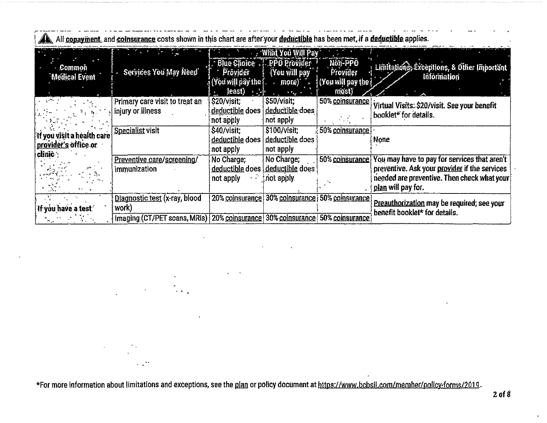|                                                                 |                                                                                          |                                                                       | What You Will Pay                                             |                                                     |                                                                                                                                                                    |
|-----------------------------------------------------------------|------------------------------------------------------------------------------------------|-----------------------------------------------------------------------|---------------------------------------------------------------|-----------------------------------------------------|--------------------------------------------------------------------------------------------------------------------------------------------------------------------|
| Common<br><b>Medical Event</b>                                  | Services You May Need                                                                    | Blue Choice PPO Provider<br>Provider<br>(Yōu will pày the f<br>least) | You will pay<br>more)                                         | Non-PPO<br>Provider<br>(You will pay the [<br>most) | : Limitations, Exceptions, & Other Important<br>Information                                                                                                        |
| $\frac{1}{2}$ , $\frac{1}{2}$ , $\frac{1}{2}$                   | Primary care visit to treat an<br>injury or illness                                      | $\frac{1}{10}$<br>\$20/visit;<br>deductible does<br>not apply         | <b>Alegy</b><br>$$50/$ visit;<br>deductible does<br>not apply | 50% coinsurance                                     | Virtual Visits: \$20/visit. See your benefit<br>booklet* for details.                                                                                              |
| 'If you visit a health care<br>provider's office or<br>clinic : | Specialist visit                                                                         | \$40/visit;<br>deductible does<br>not apply                           | \$100/visit:<br>deductible does<br>not apply                  | 50% coinsurance                                     | None                                                                                                                                                               |
|                                                                 | Preventive care/screening/<br>immunization                                               | No Charge;<br>deductible does<br>not apply                            | No Charge;<br>deductible does<br>inot apply.                  | 50% coinsurance                                     | You may have to pay for services that aren't<br>preventive. Ask your provider if the services<br>needed are preventive. Then check what your<br>plan will pay for. |
| If you have a test.                                             | Diagnostic test (x-ray, blood<br>work)<br>Imaging (CT/PET scans, MRIs)   20% coinsurance | 20% coinsurance                                                       | 30% coinsurance<br>30% coinsurance                            | 50% coinsurance<br>50% coinsurance                  | Preauthorization may be required; see your<br>benefit booklet* for details.                                                                                        |

All copayment, and coinsurance costs shown in this chart are after your deductible has been met, if a deductible applies.

\*For more information about limitations and exceptions, see the plan or policy document at https://www.bcbsil.com/member/policy-forms/2019.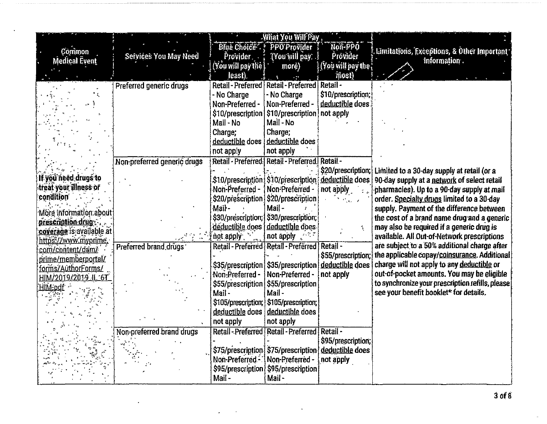|                           |                             |                                 | <b>What You Will Pay</b>                                |                    |                                                               |
|---------------------------|-----------------------------|---------------------------------|---------------------------------------------------------|--------------------|---------------------------------------------------------------|
| <b>Common</b>             |                             |                                 | Blue Choice & PPO Provider                              | Non-PPO            | . Limitations, Exceptions, & Other Important                  |
| <b>Medical Event</b>      | Services You May Need       | Provider.                       | [You will pay: .]                                       | Provider           | information.                                                  |
|                           |                             | (You will pay the ]             | more)                                                   | (You will pay the  |                                                               |
|                           |                             | least).                         |                                                         | most)              |                                                               |
|                           | Preferred generic drugs     |                                 | Retail - Preferred   Retail - Preferred   Retail -      |                    |                                                               |
|                           |                             | - No Charge                     | - No Charge                                             | \$10/prescription; |                                                               |
|                           |                             | Non-Preferred -                 | Non-Preferred -                                         | deductible does    |                                                               |
|                           |                             |                                 | \$10/prescription   \$10/prescription                   | not apply          |                                                               |
|                           |                             | Mail - No                       | Mail - No                                               |                    |                                                               |
|                           |                             | Charge;                         | Charge;                                                 |                    |                                                               |
|                           |                             | deductible does                 | deductible does                                         |                    |                                                               |
|                           |                             | not apply                       | not apply                                               |                    |                                                               |
|                           | Non-preferred generic drugs |                                 | Retail - Preferred: Retail - Preferred.                 | Retail-            |                                                               |
|                           |                             |                                 |                                                         |                    | \$20/prescription; Limited to a 30-day supply at retail (or a |
| If you need drugs to      |                             |                                 | \$10/prescription: \$10/prescription: deductible does   |                    | 90-day supply at a network of select retail                   |
| treat your illness or     |                             | Non-Preferred -                 | <b>Non-Preferred -</b>                                  | not apply          | pharmacies). Up to a 90-day supply at mail                    |
| condition                 |                             |                                 | \$20/prescription \$20/prescription                     |                    | order. Specialty drugs limited to a 30-day                    |
| Möre information about    |                             | Mail-                           | Mail-                                                   |                    | supply. Payment of the difference between                     |
| <u>prescription drug-</u> |                             |                                 | \$30/prescription; \$30/prescription;                   |                    | the cost of a brand name drug and a generic                   |
| coverage is available at  |                             |                                 | deductible does deductible does                         |                    | may also be required if a generic drug is                     |
| https://www.myprime.      |                             | not apply                       | not apply $\mathbb{R}^{n \times 2}$                     |                    | available. All Out-of-Network prescriptions                   |
| com/content/dam/          | Preferred brand drugs       |                                 | Retail - Preferred   Retail - Preferred                 | <b>Retail -</b>    | are subject to a 50% additional charge after                  |
| prime/memberportal/       |                             |                                 |                                                         | \$55/prescription; | the applicable copay/coinsurance. Additional                  |
| forms/AuthorForms/        |                             |                                 | \$35/prescription   \$35/prescription   deductible does |                    | charge will not apply to any deductible or                    |
| HIM/2019/2019_IL_6T       |                             | Non-Preferred -                 | Non-Preferred -                                         | not apply          | out-of-pocket amounts. You may be eligible                    |
| HIM:odf                   |                             |                                 | \$55/prescription § \$55/prescription                   |                    | to synchronize your prescription refills, please              |
|                           |                             | Mail-                           | Mail-                                                   |                    | see your benefit booklet* for details.                        |
|                           |                             |                                 | \$105/prescription; \$105/prescription;                 |                    |                                                               |
|                           |                             |                                 | deductible does deductible does                         |                    |                                                               |
|                           |                             | not apply                       | not apply                                               |                    |                                                               |
|                           | Non-preferred brand drugs   |                                 | Retail - Preferred Retail - Preferred Retail -          |                    |                                                               |
|                           |                             |                                 |                                                         | \$95/prescription; |                                                               |
|                           |                             |                                 | \$75/prescription \$75/prescription deductible does     |                    |                                                               |
|                           |                             | Non-Preferred - Non-Preferred - |                                                         | not apply          |                                                               |
|                           |                             |                                 | \$95/prescription \$95/prescription                     |                    |                                                               |
|                           |                             | Mail-                           | Mail-                                                   |                    |                                                               |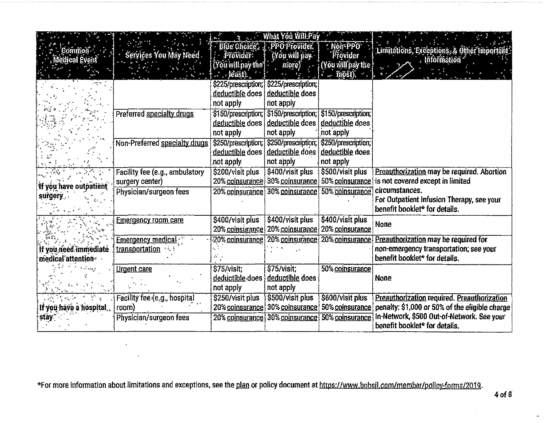|                         |                                |                          | <b>Election What You Will-Pay</b>       |                           |                                                    |
|-------------------------|--------------------------------|--------------------------|-----------------------------------------|---------------------------|----------------------------------------------------|
| ្@ommon*ំ               |                                |                          | Blue Choice, J. PPO Provider.           | : Non-PPO                 | 'Limitations, Exceptions, & Other Important        |
| <b>Medical Event</b>    | Services You May Need .        | Provider:                | (You will pay                           | Provider                  | , Information                                      |
|                         |                                | (You will pay the $\mid$ | more)                                   | (You will pay the $\cdot$ |                                                    |
|                         |                                | <b>Heast</b> ).          |                                         | mõšt).                    |                                                    |
|                         |                                |                          | \$225/prescription; \$225/prescription; |                           |                                                    |
|                         |                                | deductible does          | deductible does                         |                           |                                                    |
|                         |                                | not apply                | not apply                               |                           |                                                    |
|                         | Preferred specialty drugs      |                          | \$150/prescription; \$150/prescription; | \$150/prescription;       |                                                    |
|                         |                                | deductible does          | deductible does                         | deductible does           |                                                    |
|                         |                                | not apply                | not apply                               | not apply                 |                                                    |
|                         | Non-Preferred specialty drugs  | \$250/prescription;      | \$250/prescription;                     | \$250/prescription;       |                                                    |
|                         |                                | deductible does          | deductible does                         | deductible does           |                                                    |
|                         |                                | not apply                | not apply                               | not apply                 |                                                    |
|                         | Facility fee (e.g., ambulatory | \$200/visit plus         | \$400/visit plus                        | \$500/visit plus          | Preauthorization may be required. Abortion         |
| If you have outpatient  | surgery center)                | 20% coinsurance          | 30% coinsurance                         | 50% coinsurance           | is not covered except in limited                   |
| surgery.                | Physician/surgeon fees         | 20% coinsurance          | 30% coinsurance                         | 50% coinsurance.          | circumstances.                                     |
|                         |                                |                          |                                         |                           | For Outpatient Infusion Therapy, see your          |
|                         |                                |                          |                                         |                           | benefit booklet* for details.                      |
|                         | <u>Emergency room care</u>     | \$400/visit plus         | \$400/visit plus                        | \$400/visit plus          | None                                               |
|                         |                                | 20% coinsurance          | 20% coinsurance                         | 20% coinsurance           |                                                    |
|                         | <b>Emergency medical</b>       | 20% <u>coinsurance</u>   | 20% coinsurance                         | 20% coinsurance           | Preauthorization may be required for               |
| if you need immediate   | <u>transportation</u>          |                          |                                         |                           | non-emergency transportation; see your             |
| medical attention       |                                |                          |                                         |                           | benefit booklet* for details.                      |
|                         | <u>Urgent care</u>             | \$75/visit               | \$75/visit;                             | 50% coinsurance           |                                                    |
|                         |                                | deductible-does          | deductible does                         |                           | None                                               |
|                         |                                | not apply                | not apply                               |                           |                                                    |
|                         | Facility fee (e.g., hospital   | \$250/visit plus         | \$500/visit plus                        | \$600/visit plus          | <b>Preauthorization required. Preauthorization</b> |
| If you have a hospital, | room)                          | 20% coinsurance          | 30% coinsurance                         | 50% coinsurance           | penalty: \$1,000 or 50% of the eligible charge     |
| stay.                   | Physician/surgeon fees         | 20% coinsurance          | 30% coinsurance                         | 50% coinsurance           | In-Network, \$500 Out-of-Network. See your         |
|                         |                                |                          |                                         |                           | benefit booklet* for details.                      |

\*For more information about limitations and exceptions, see the plan or policy document at https://www.bcbsil.com/member/policy-forms/2019.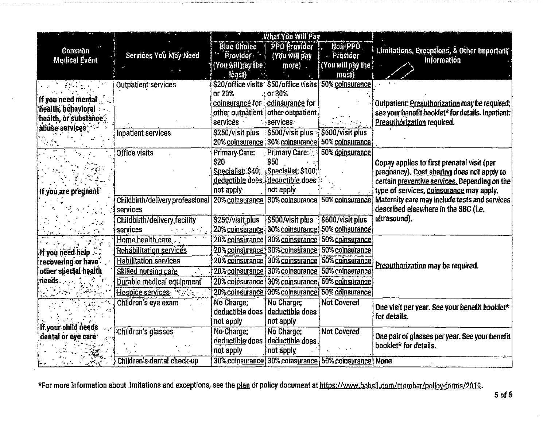|                                  |                                     |                                  | What You Will Pay                                     |                                 |                                                   |
|----------------------------------|-------------------------------------|----------------------------------|-------------------------------------------------------|---------------------------------|---------------------------------------------------|
| Common                           |                                     | <b>Blue Choice</b>               | <b>PPO Provider</b>                                   | Non-PPO                         | Limitations, Exceptions, & Other Important        |
| <b>Medical Event</b>             | Services You May Need               | Provider -                       | (You will pay                                         | Provider                        | Information                                       |
|                                  |                                     | (You will pay the )              | more)                                                 | (You will pay the '             |                                                   |
|                                  |                                     | least)                           |                                                       | most)                           |                                                   |
|                                  | <b>Outpatient services</b>          |                                  | \$20/office visits \$50/office visits 50% coinsurance |                                 |                                                   |
| If you need mental               |                                     | or 20%                           | or 30%                                                |                                 |                                                   |
| health, behavioral               |                                     | coinsurance for                  | coinsurance for                                       |                                 | Outpatient: Preauthorization may be required;     |
| health, or substance             |                                     | other outpatient                 | other outpatient                                      |                                 | see your benefit booklet* for details. Inpatient: |
| abuse services                   |                                     | services -                       | services                                              |                                 | Preauthorization required.                        |
|                                  | Inpatient services                  | \$250/visit plus                 | \$500/visit plus                                      | \$600/visit plus                |                                                   |
|                                  |                                     | 20% coinsurance                  | 30% coinsurance                                       | 50% coinsurance                 |                                                   |
|                                  | <b>Office visits</b>                | Primary Care:                    | Primary Care:                                         | 50% coinsurance                 |                                                   |
|                                  |                                     | \$20.                            | \$50                                                  |                                 | Copay applies to first prenatal visit (per        |
|                                  |                                     | Specialist: \$40;                | Specialist: \$100;                                    |                                 | pregnancy). Cost sharing does not apply to        |
|                                  |                                     | deductible does. deductible does |                                                       |                                 | certain preventive services. Depending on the     |
| If you are pregnant <sup>:</sup> |                                     | not apply                        | not apply                                             |                                 | type of services, coinsurance may apply.          |
|                                  | Childbirth/delivery professional    | 20% coinsurance                  | 30% coinsurance                                       | 50% coinsurance                 | Maternity care may include tests and services     |
|                                  | services                            |                                  |                                                       |                                 | described elsewhere in the SBC (i.e.              |
|                                  | <b>Childbirth/delivery facility</b> | \$250/visit plus                 | \$500/visit plus                                      | \$600/visit plus                | ultrasound).                                      |
|                                  | services                            | 20% coinsurance                  | 30% coinsurance                                       | 50% coinsurance                 |                                                   |
|                                  | Home health care                    | 20% coinsurance                  | 30% coinsurance                                       | 50% coinsurance                 |                                                   |
| If you néed help $\sim$ .        | <b>Rehabilitation services</b>      |                                  | 20% coinsurance, 30% coinsurance                      | 50% coinsurance                 |                                                   |
| recovering or have               | <b>Habilitation services</b>        | 20% coinsurance                  | 30% coinsurance                                       | 50% coinsurance                 | Preauthorization may be required.                 |
| other special health             | Skilled nursing care                | 20% coinsurance                  | 30% coinsurance                                       | 50% coinsurance                 |                                                   |
| needs:                           | Durable medical equipment           | 20% coinsurance                  | 30% coinsurance                                       | 50% coinsurance                 |                                                   |
|                                  | Hospice services                    |                                  | 20% coinsurance 30% coinsurance                       | 50% coinsurance                 |                                                   |
|                                  | Children's eye exam                 | No Charge:                       | No Charge;                                            | Not.Covered                     | One visit per year. See your benefit booklet*     |
|                                  |                                     | deductible does                  | deductible does                                       |                                 | for details.                                      |
| If your child needs              |                                     | not apply                        | not apply                                             |                                 |                                                   |
| dental or eye care               | Children's glasses                  | No Charge;                       | No Charge;                                            | <b>Not Covered</b>              | One pair of glasses per year. See your benefit    |
|                                  |                                     | deductible does                  | deductible does                                       |                                 | booklet* for details.                             |
|                                  |                                     | not apply                        | not apply                                             |                                 |                                                   |
|                                  | Children's dental check-up          | 30% coinsurance                  |                                                       | 30% coinsurance 50% coinsurance | None                                              |

\*For more information about limitations and exceptions, see the plan or policy document at https://www.bcbsil.com/member/policy-forms/2019.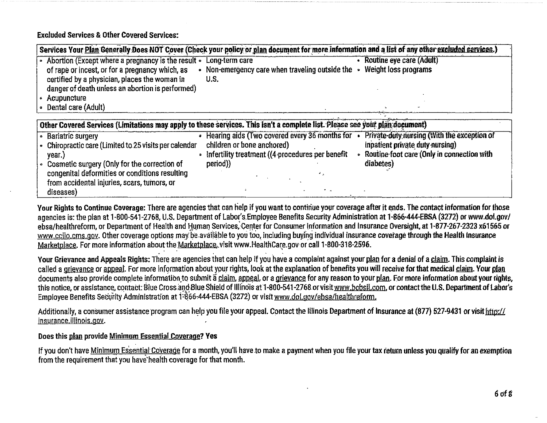**Excluded Services & Other Covered Services:** 

| Services Your Plan Generally Does NOT Cover (Check your policy or plan document for more information and a list of any other excluded services.)                                                                                                        |                                                                                                                                             |                                                                                                                                             |
|---------------------------------------------------------------------------------------------------------------------------------------------------------------------------------------------------------------------------------------------------------|---------------------------------------------------------------------------------------------------------------------------------------------|---------------------------------------------------------------------------------------------------------------------------------------------|
| • Abortion (Except where a pregnancy is the result .<br>of rape or incest, or for a pregnancy which, as<br>certified by a physician, places the woman in<br>danger of death unless an abortion is performed)<br>Acupuncture                             | Long-term care<br>• Non-emergency care when traveling outside the $\cdot$ Weight loss programs<br>U.S.                                      | Routine eye care (Adult)                                                                                                                    |
| <b>Dental care (Adult)</b>                                                                                                                                                                                                                              |                                                                                                                                             |                                                                                                                                             |
| Other Covered Services (Limitations may apply to these services. This isn't a complete list. Please see your plan document)                                                                                                                             |                                                                                                                                             |                                                                                                                                             |
| • Bariatric surgery<br>- Chiropractic care (Limited to 25 visits per calendar<br>year.)<br>• Cosmetic surgery (Only for the correction of<br>congenital deformities or conditions resulting<br>from accidental injuries, scars, tumors, or<br>diseases) | Hearing aids (Two covered every 36 months for<br>children or bone anchored)<br>Infertility treatment ((4 procedures per benefit<br>period)) | Private-duty nursing (With the exception of<br>inpatient private duty nursing)<br>• Routine foot care (Only in connection with<br>diabetes) |

Your Rights to Continue Coverage: There are agencies that can help if you want to continue your coverage after it ends. The contact information for those agencies is: the plan at 1-800-541-2768, U.S. Department of Labor's Employee Benefits Security Administration at 1-866-444-EBSA (3272) or www.dol.gov/ ebsa/healthreform, or Department of Health and Human Services, Center for Consumer Information and Insurance Oversight, at 1-877-267-2323 x61565 or www.cclio.cms.gov. Other coverage options may be available to you too, including buying individual insurance coverage through the Health Insurance Marketplace. For more information about the Marketplace, visit www.HealthCare.gov or call 1-800-318-2596.

Your Grievance and Appeals Rights: There are agencies that can help if you have a complaint against your plan for a denial of a claim. This complaint is called a grievance or appeal. For more information about your rights, look at the explanation of benefits you will receive for that medical claim. Your plan documents also provide complete information to submit a claim, appeal, or a grievance for any reason to your plan. For more information about your rights, this notice, or assistance, contact: Blue Cross and Blue Shield of Illinois at 1-800-541-2768 or visit www.bebsil.com, or contact the U.S. Department of Labor's Employee Benefits Security Administration at 1-866-444-EBSA (3272) or visit www.dol.gov/ebsa/healthreform.

Additionally, a consumer assistance program can help you file your appeal. Contact the Illinois Department of Insurance at (877) 527-9431 or visit http:// insurance.illinois.gov.

### Does this plan provide Minimum Essential Coverage? Yes

If you don't have Minimum Essential Coverage for a month, you'll have to make a payment when you file your tax return unless you qualify for an exemption from the requirement that you have health coverage for that month.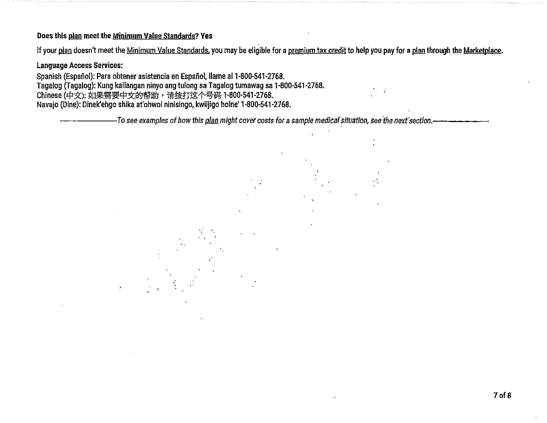#### Does this plan meet the Minimum Value Standards? Yes

If your plan doesn't meet the Minimum Value Standards, you may be eligible for a premium tax credit to help you pay for a plan through the Marketplace.

#### Language Access Services:

Spanish (Español): Para obtener asistencia en Español, llame al 1-800-541-2768. Tagalog (Tagalog): Kung kailangan ninyo ang tulong sa Tagalog tumawag sa 1-800-541-2768. Chinese (中文): 如果需要中文的帮助,请拨打这个号码 1-800-541-2768. Navajo (Dine): Dinek'ehgo shika at'ohwol ninisingo, kwiijigo holne' 1·800-541-2768.

-To see examples of how this <u>plan</u> might cover costs for a sample medical situation, see the next section.--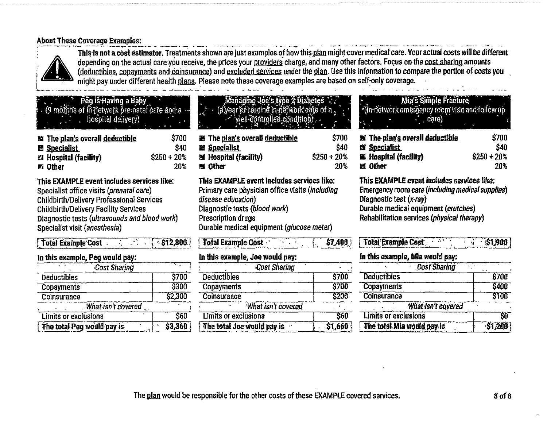## **About These Coverage Examples:**



This is not a cost estimator. Treatments shown are just examples of how this plan might cover medical care. Your actual costs will be different depending on the actual care you receive, the prices your providers charge, and many other factors. Focus on the cost sharing amounts (deductibles, copayments and coinsurance) and excluded services under the plan. Use this information to compare the portion of costs you might pay under different health plans. Please note these coverage examples are based on self-only coverage.

\$700

Peg is Having a Baby (9 months of in network pre-natal care and a hospital delivery)

| <b>题 The plan's overall deductible</b> | \$700        |
|----------------------------------------|--------------|
| <b>El Specialist</b>                   | \$40         |
| <b>EX Hospital (facility)</b>          | $$250 + 20%$ |
| <b>EX</b> Other                        | 20%          |

This EXAMPLE event includes services like: Specialist office visits (prenatal care) **Childbirth/Delivery Professional Services Childbirth/Delivery Facility Services** Diagnostic tests (ultrasounds and blood work) Specialist visit (anesthesia)

| t total example gost<br>$\sim$ ) 12,000 ( |         |
|-------------------------------------------|---------|
| In this example, Peg would pay:           |         |
| <b>Cost Sharing</b>                       |         |
| <b>Deductibles</b>                        | \$700   |
| <b>Copayments</b>                         | 3300    |
| Coinsurance                               | \$2,300 |
| What isn't covered                        |         |
| Limits or exclusions                      | \$60    |
| The total Peg would pay is                | \$3,360 |

 $A \cdot A$ 

|  | Managing Joe's type 2 Diabeles          |
|--|-----------------------------------------|
|  | (a year of routine in network care of a |
|  | well-controlled.condition)              |
|  |                                         |

| <b>EX The plan's overall deductible</b> | \$700         |
|-----------------------------------------|---------------|
| <b>Et Specialist</b>                    | \$40          |
| 覆 Hospital (facility)                   | $$250 + 20\%$ |
| 蟹 Other                                 | 20%           |

This EXAMPLE event includes services like: Primary care physician office visits (including disease education) Diagnostic tests (blood work) **Prescription drugs** Durable medical equipment (glucose meter)

**Total Example Cost**  $57.400$ الموالي المحالة

### In this example, Joe would pay:

| <b>Cost Sharing</b>        |              |
|----------------------------|--------------|
| <b>Deductibles</b>         | <b>\$700</b> |
| <b>Copayments</b>          | <b>S700</b>  |
| <b>Coinsurance</b>         | <b>S200</b>  |
| What isn't covered         |              |
| Limits or exclusions       | <b>S60</b>   |
| The total Joe would pay is | \$1,660      |

# Mia's Simple Fracture

(in-network emergency room visit and follow up care)

| <b>Ex The plan's overall deductible</b> | \$700        |
|-----------------------------------------|--------------|
| 图 Specialist                            | \$40         |
| <b>III Hospital (facility)</b>          | $$250 + 20%$ |
| 窗 Other                                 | 20%          |

#### This EXAMPLE event includes services like:

Emergency room care (including medical supplies) Diagnostic test (x-ray) Durable medical equipment (crutches) Rehabilitation services (physical therapy)

| Total Example Cost 3 51,900     |  |  |  |  |  |
|---------------------------------|--|--|--|--|--|
| In this example, Mia would pay: |  |  |  |  |  |
| $\overline{\phantom{a}}$        |  |  |  |  |  |

| Cost Sharing                |        |
|-----------------------------|--------|
| <b>Deductibles</b>          | \$700  |
| <b>Copayments</b>           | \$400  |
| Coinsurance                 | \$100  |
| What isn't covered          |        |
| <b>Limits or exclusions</b> | ŜÕ     |
| The total Mia would pay is  | 51,200 |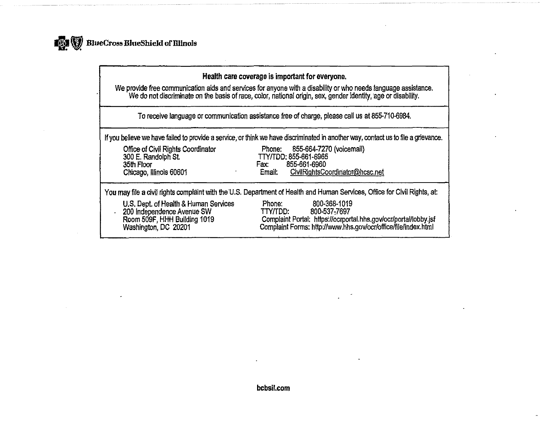

| Health care coverage is important for everyone.<br>We provide free communication aids and services for anyone with a disability or who needs language assistance.<br>We do not discriminate on the basis of race, color, national origin, sex, gender identity, age or disability. |                                                                                                                                                                                          |  |  |
|------------------------------------------------------------------------------------------------------------------------------------------------------------------------------------------------------------------------------------------------------------------------------------|------------------------------------------------------------------------------------------------------------------------------------------------------------------------------------------|--|--|
| To receive language or communication assistance free of charge, please call us at 855-710-6984.                                                                                                                                                                                    |                                                                                                                                                                                          |  |  |
| If you believe we have failed to provide a service, or think we have discriminated in another way, contact us to file a grievance.                                                                                                                                                 |                                                                                                                                                                                          |  |  |
| Office of Civil Rights Coordinator<br>300 E. Randolph St.<br>35th Floor<br>Chicago, Illinois 60601                                                                                                                                                                                 | 855-664-7270 (voicemail)<br>Phone:<br>TTY/TDD: 855-661-6965<br>855-661-6960<br>Fax:<br>CivilRightsCoordinator@hcsc.net<br>Email:                                                         |  |  |
| You may file a civil rights complaint with the U.S. Department of Health and Human Services, Office for Civil Rights, at:                                                                                                                                                          |                                                                                                                                                                                          |  |  |
| U.S. Dept. of Health & Human Services<br>200 Independence Avenue SW<br>Room 509F, HHH Building 1019<br>Washington, DC 20201                                                                                                                                                        | 800-368-1019<br>Phone:<br>TTY/TDD:<br>800-537-7697<br>Complaint Portal: https://ocrportal.hhs.gov/ocr/portal/lobby.jsf<br>Complaint Forms: http://www.hhs.gov/ocr/office/file/index.html |  |  |

bcbsil.com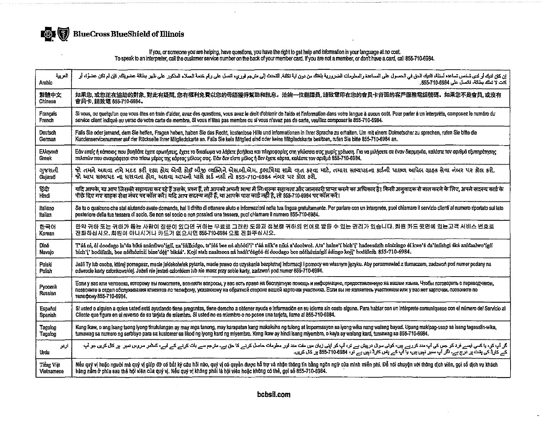

if you, or someone you are helping, have questions, you have the right to get help and information in your language at no cost.<br>To speak to an interpreter, call the customer service number on the back of your member card.

| العربية            | إن كان لنيك أو لدى شخص تساعد أسللة، قلابك الحوّ في المساعد والمعلومات الضرورية بلغتك من الكريم المرارع المسلم المنحول المختم الملحل المنكور على ظهر بطالة عصريتك فلن قصر المنكور على ظهر بطالة عصريتك فلن المنكور على ظهر بطال                                                                                                                                                                         |
|--------------------|--------------------------------------------------------------------------------------------------------------------------------------------------------------------------------------------------------------------------------------------------------------------------------------------------------------------------------------------------------------------------------------------------------|
| Arabic             | كلت لا تعلك بطاقة، فاتصل على 6984-855-710.                                                                                                                                                                                                                                                                                                                                                             |
| 繁體中文               | 如果您,或您正在協助的對象,對此有疑問,您有權利免費以您的母語獲得幫助和訊息。洽詢一位翻譯員,請致電印在您的會员卡背面的客戶服務電話號碼。如果您不是會員,或沒有                                                                                                                                                                                                                                                                                                                       |
| Chinese            | 會員卡 請致電 855-710-6984。                                                                                                                                                                                                                                                                                                                                                                                  |
| Francais           | Si vous, ou quelqu'un que vous êtes en train d'aider, avez des questions, vous avez le droit d'obtenir de l'aide el l'information dans votre langue à aucun coût. Pour parler à un interprète, composez le numéro du                                                                                                                                                                                   |
| French             | service client indiqué au verso de votre carte de membre. Si vous n'êtes pas membre ou si vous n'avez pas de carte, veuillez composer le 855-710-6984.                                                                                                                                                                                                                                                 |
| Deutsch            | Falls Sie oder jemand, dem Sie helfen, Fragen haben, haben Sie das Recht, kostenlose Hilfe und Informationen in Ihrer Sprache zu erhalten. Um mit einem Dolmetscher zu sprechen, rufen Sie bitte die                                                                                                                                                                                                   |
| German             | Kundenservicenummer auf der Rückseite Ihrer Mitgliedskarte an. Falls Sie kein Mitglied sind oder keine Mitgliedskarte besitzen, rufen Sie bitte 855-710-6984 an.                                                                                                                                                                                                                                       |
| EMIMKO             | Εάν εσείς ή κάποιος που βοηθάτε έχετε ερωπήσεις, έχετε το δικαίωμα να λάβετε βοήθεια και πληροφορίες στη γλώσσα σας χωρίς χρέωση. Για να μιλήσετε σε έναν διερμηνέα, καλέστε τον σριθμό εξυπηρέτησης                                                                                                                                                                                                   |
| Greek              | πελατών που αναγράφεται στο πίσω μέρος της κάρτας μέλους σας. Εάν δεν είστε μέλος ή δεν έχετε κάρτα, καλέστε τον αριθμό 855-710-6984.                                                                                                                                                                                                                                                                  |
| ગુજરાતી            | જો તમને અથવા તમે મદદ કરી રહ્યા હોય એવી કોઈ બીજી વ્યક્તિને એસબી.એમ. દુભાષિયા સાથે વાત કરવા માટે, તમારા સભ્યપદના કાર્ડની પાછળ આપેલ ગ્રાહક સેવા નંબર પર કૉલ કરો.                                                                                                                                                                                                                                          |
| Gujarati           | જો આપ સલ્ટાપદ ના ધરાવતા હોવ, અંથવા આપની પાસે કાર્ડ નથી તો 855-710-6984 નંબર પર કૉલ કરો.                                                                                                                                                                                                                                                                                                                |
| हिंदी              | यदि आपके, या आप जिसकी सहायता कर रहे हैं उसके, प्रश्न हैं, तो आपको अपनी आया में निःशुल्क सहायता और जानकारी प्राप्त करने का अधिकार है। किसी अनुवादक से बात करने के लिए, अपने सदस्य कार्ड के                                                                                                                                                                                                              |
| Hindi              | पीछे दिए गए ग्राहक सेवा नंबर पर कॉल करें। यदि आप सदस्य नहीं हैं, या आपके पास कार्ड नहीं है, तो 855-710-6984 पर कॉल करें।                                                                                                                                                                                                                                                                               |
| Italiano           | Se tu o qualcuno che stal aiutando avete domande, hai il diritto di ottenere aiuto e informazioni nella tua lingua gratuitamente. Per parlare con un interprete, puol chiamare il servizio clienti al numero riportato sul lat                                                                                                                                                                         |
| Italian            | posteriore della tua tessera di socio. Se non sel socio o non possiedi una tessera, puoi chiamare il numero 855-710-6984.                                                                                                                                                                                                                                                                              |
| 한국어                | 만약 귀하 또는 귀하가 돕는 사람이 질문이 있다면 귀하는 무료로 그러한 도움과 정보를 귀하의 언어로 받을 수 있는 권리가 있습니다. 회원 카드 윗면에 있는고객 서비스 번호로                                                                                                                                                                                                                                                                                                       |
| Korean             | 전화하십시오.회원이 아니시거나 카드가 없으시면 855-710-6984 으로 전화주십시오.                                                                                                                                                                                                                                                                                                                                                      |
| Diné               | T'áá ni, éi doodago la'da biká anánílwo'ígií, na'idilkidgo, ts'idá bee ná ahóóti'i' t'áá nijk'e niká a'doolwoł. Ata' halne'i bich'i' hadeesdzih ninízingo éi kwe'é da'iníishgi áka anidaalwo'ígií                                                                                                                                                                                                      |
| Navajo             | bich'i' hodifinih, bee nééhózinii bine'déé' bikáá'. Kojí atah naaltsoos ná hadít'éégóó éi doodago bee nééhózinígií ádingo koji' hodífluih 855-710-6984.                                                                                                                                                                                                                                                |
| Polski             | Jeśli Ty lub osoba, której pomagasz, made jakiekowiek pytania, made prawo do uzyskania bezpłatnej informacji i pomocy we własnym języku. Aby porozmawiać z tłumaczem, zadzwoń pod numer podany na                                                                                                                                                                                                      |
| Polish             | odwrocie karty członkowskiej. Jeżeli nie jesteś członkiem lub nie masz przy sobie karty, zadzwoń pod numer 855-710-6984.                                                                                                                                                                                                                                                                               |
| Русский<br>Russian | Если у вас или человека, которому вы помогаете, возникли вопросы, у вас есть право на бесплатную помощь и информацию, предоставленную на вашем языке. Чтобы поговорить с переводчиком,<br>позвоните в отдел обслуживания клиентов по телефону, указанному на обратной стороне вашей карточки участника. Если вы не являетесь участником или у вас нет карточки, позвоните по<br>телефону 855-710-6984. |
| Españo:            | Si usted o alguien a quien usted está ayudando tiene preguntas, tiene derecho a obtener ayuda e información en su idioma sin costo alguno. Para hablar con un intérprete comuniquese con el número del Servicio al                                                                                                                                                                                     |
| Spanish            | Cliente que figura en el reverso de su tarjeta de miembro. Si usted no es miembro o no posee una tarjeta, llame al 855-710-6984.                                                                                                                                                                                                                                                                       |
| Tagalog            | Kung ikaw, o ang isang taong iyong tinutulungan ay may mga tanong, may karapatan kang makakuha ng tulong at impormasyon sa iyong wika nang walang bayad. Upang makipag-usap sa isang tagasalin-wika,                                                                                                                                                                                                   |
| Tagalog            | tumawag sa numero ng serbisyo para sa kustomer sa likod ng iyong kard ng miyembro. Kung ikaw ay hindi isang miyembro, o kaya ay walang kard, tumawag sa 855-710-6984.                                                                                                                                                                                                                                  |
| اردر               | گر آپ کر، یا کس ایسے فرد کر جس کی آپ مند کررہے ہیں گوئی سے ایک کو ایک کوئی کو ایک ایک کوئی کے ایک ایک کوئیے کے لیے، کشر سروس سر پر کال کریں جر ایک کرنے کے لیے، کشر سروس سر پر کال کریں جر                                                                                                                                                                                                             |
| Urdu               | کہ کارڈ کی بشت پر درج ہے۔ اگر آپ ممیر نہیں ہیں، یا آپ کے پس کارڈ نہیں ہے تو، 894-710-855 پر کال کریں۔                                                                                                                                                                                                                                                                                                  |
| Tiếng Việt         | Nếu quý vị hoặc người mà quý vị giúp đỡ có bất kỳ câu hồi nào, quý vị có quyền được hỗ trợ và nhận thông tin bằng ngôn ngữ của mình miễn phí. Để nói chuyện với thông dịch viên, gọi số dịch vụ khách                                                                                                                                                                                                  |
| Vietnamese         | hàng nằm ở phía sau thẻ hội viên của quý vị. Nếu quý vị không phải là hội viên hoặc không có thẻ, gọi số 855-710-6984.                                                                                                                                                                                                                                                                                 |

 $\blacksquare$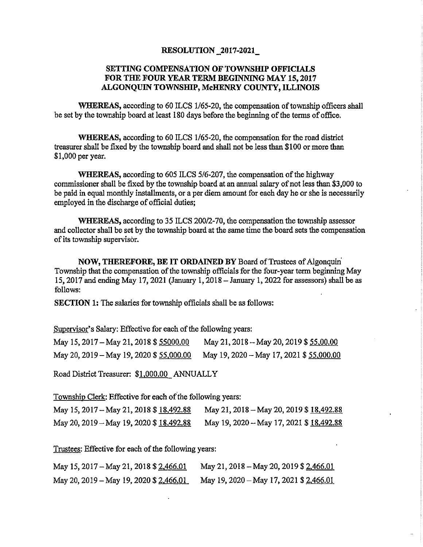#### **RESOLUTION \_2017-2021\_**

#### **SETTING COMPENSATION OF TOWNSHIP OFFICIALS FOR THE FOUR YEAR TERM BEGINNING MAY 15, 2017 ALGONQUIN TOWNSHIP, McHENRY COUNTY, ILLINOIS**

WHEREAS, according to 60 ILCS 1/65-20, the compensation of township officers shall be set by the township board at least 180 days before the beginning of the terms of office.

**WHEREAS,** according to 60 ILCS 1/65-20, the compensation for the road district treasurer shall be fixed by the township board and shall not be less than \$100 or more than \$1,000 per year.

**WHEREAS,** according to 605 ILCS 5/6-207, the compensation of the highway commissioner shall be fixed by the township board at an annual salary of not less than \$3,000 to be paid in equal monthly installments, or a per diem amount for each day he or she is necessarily employed in the discharge of official duties;

**WHEREAS,** according to 35 ILCS 200/2-70, the compensation the township assessor and collector shall be set by the township board at the same time the board sets the compensation of its township supervisor.

**NOW, THEREFORE, BE IT ORDAINED BY** Board of Trustees of Algonquin' Township that the compensation of the township officials for the four-year term beginning May 15, 2017 and ending May 17, 2021 (January 1, 2018- January 1, 2022 for assessors) shall be as follows:

**SECTION 1:** The salaries for township officials shall be as follows:

Supervisor's Salary: Effective for each of the following years:

| May 15, 2017 – May 21, 2018 \$ 55000.00  | May 21, 2018 – May 20, 2019 \$ 55,00.00  |
|------------------------------------------|------------------------------------------|
| May 20, 2019 – May 19, 2020 \$ 55,000.00 | May 19, 2020 – May 17, 2021 \$ 55,000.00 |

Road District Treasurer: \$1.000.00 ANNUALLY

Township Clerk: Effective for each of°the following years:

| May 15, 2017 – May 21, 2018 \$ 18,492.88 | May 21, 2018 – May 20, 2019 \$ 18,492.88 |
|------------------------------------------|------------------------------------------|
| May 20, 2019 – May 19, 2020 \$ 18,492.88 | May 19, 2020 – May 17, 2021 \$ 18,492.88 |

Trustees: Effective for each of the following years:

| May 15, 2017 – May 21, 2018 \$ <u>2,466.01</u> | May 21, 2018 - May 20, 2019 \$ 2,466.01 |
|------------------------------------------------|-----------------------------------------|
| May 20, 2019 – May 19, 2020 \$ <u>2,466.01</u> | May 19, 2020 – May 17, 2021 \$ 2.466.01 |